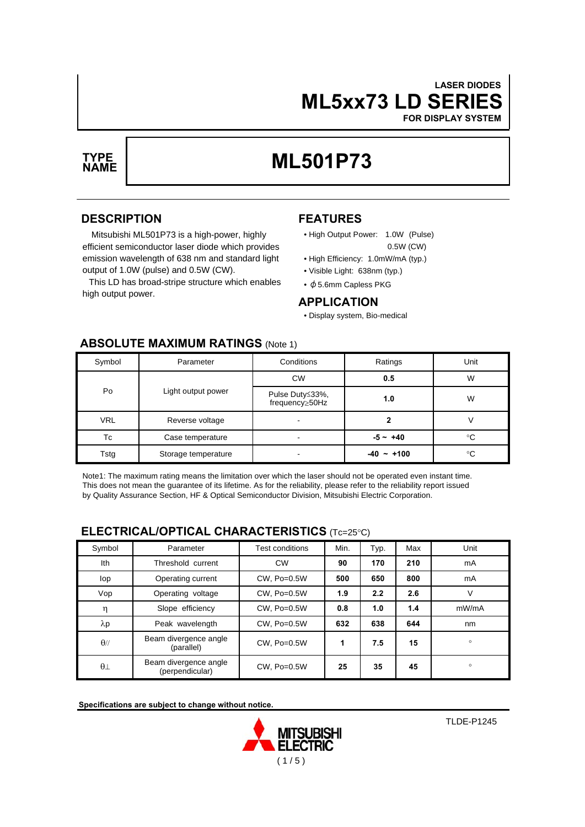# **ML5xx73 LD SERIES LASER DIODES**

**FOR DISPLAY SYSTEM**



# **ML501P73 TYPE**

## **DESCRIPTION**

Mitsubishi ML501P73 is a high-power, highly efficient semiconductor laser diode which provides emission wavelength of 638 nm and standard light output of 1.0W (pulse) and 0.5W (CW).

This LD has broad-stripe structure which enables high output power.

# **FEATURES**

- High Output Power: 1.0W (Pulse) 0.5W (CW)
- High Efficiency: 1.0mW/mA (typ.)
- Visible Light: 638nm (typ.)
- φ5.6mm Capless PKG

## **APPLICATION**

• Display system, Bio-medical

| Symbol     | Parameter           | Conditions                        | Ratings     | Unit |  |  |  |  |
|------------|---------------------|-----------------------------------|-------------|------|--|--|--|--|
| Po         | Light output power  | <b>CW</b>                         | 0.5         | W    |  |  |  |  |
|            |                     | Pulse Duty≤33%,<br>frequency⊵50Hz | 1.0         | W    |  |  |  |  |
| <b>VRL</b> | Reverse voltage     |                                   |             |      |  |  |  |  |
| Tc         | Case temperature    |                                   | $-5 - +40$  | °C   |  |  |  |  |
| Tstg       | Storage temperature | $\overline{\phantom{a}}$          | ~100<br>-40 | °C   |  |  |  |  |

## **ABSOLUTE MAXIMUM RATINGS** (Note 1)

Note1: The maximum rating means the limitation over which the laser should not be operated even instant time. This does not mean the guarantee of its lifetime. As for the reliability, please refer to the reliability report issued by Quality Assurance Section, HF & Optical Semiconductor Division, Mitsubishi Electric Corporation.

## **ELECTRICAL/OPTICAL CHARACTERISTICS** (Tc=25°C)

| Symbol      | Parameter                                | Test conditions  | Min. | Typ. | Max | Unit    |
|-------------|------------------------------------------|------------------|------|------|-----|---------|
| Ith         | Threshold current                        | <b>CW</b>        | 90   | 170  | 210 | mA      |
| lop         | Operating current                        | $CW.$ Po=0.5 $W$ | 500  | 650  | 800 | mA      |
| Vop         | Operating voltage                        | $CW.$ Po=0.5W    | 1.9  | 2.2  | 2.6 | ٧       |
| η           | Slope efficiency                         | $CW.$ Po=0.5W    | 0.8  | 1.0  | 1.4 | mW/mA   |
| $\lambda p$ | Peak wavelength                          | $CW.$ Po=0.5 $W$ | 632  | 638  | 644 | nm      |
| $\theta$ // | Beam divergence angle<br>(parallel)      | $CW.$ Po=0.5 $W$ | 1    | 7.5  | 15  | $\circ$ |
| $\theta$    | Beam divergence angle<br>(perpendicular) | CW, Po=0.5W      | 25   | 35   | 45  | $\circ$ |

**Specifications are subject to change without notice.**

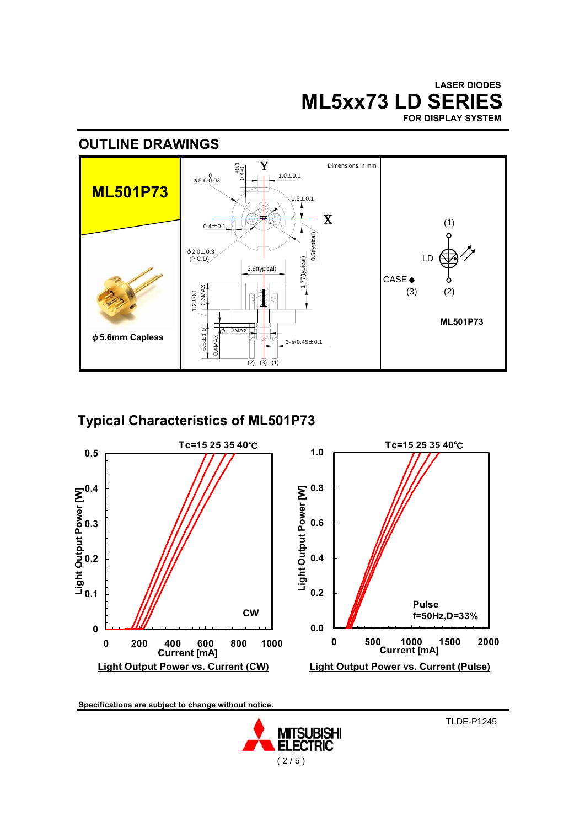**ML5xx73 LD SERIES LASER DIODES FOR DISPLAY SYSTEM**

# **OUTLINE DRAWINGS**



# **Typical Characteristics of ML501P73**



**Specifications are subject to change without notice.**



TLDE-P1245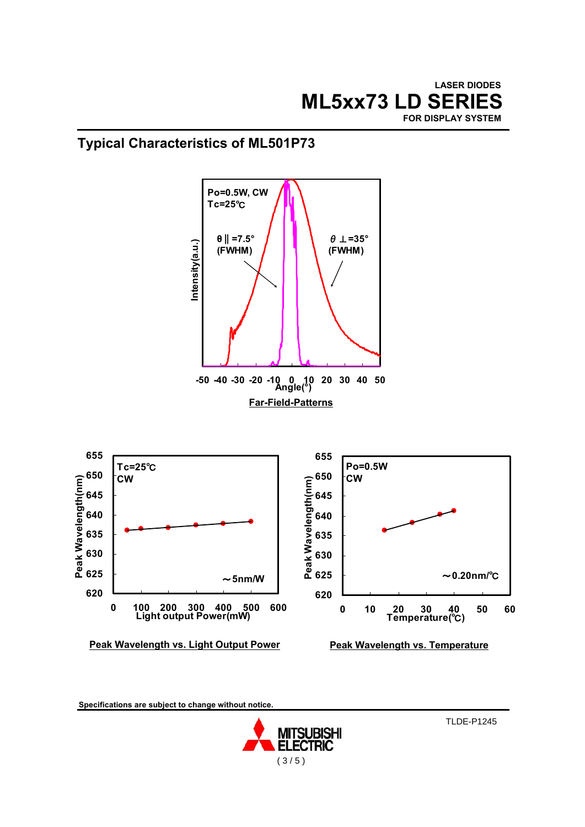

# **Typical Characteristics of ML501P73**



**Specifications are subject to change without notice.**



TLDE-P1245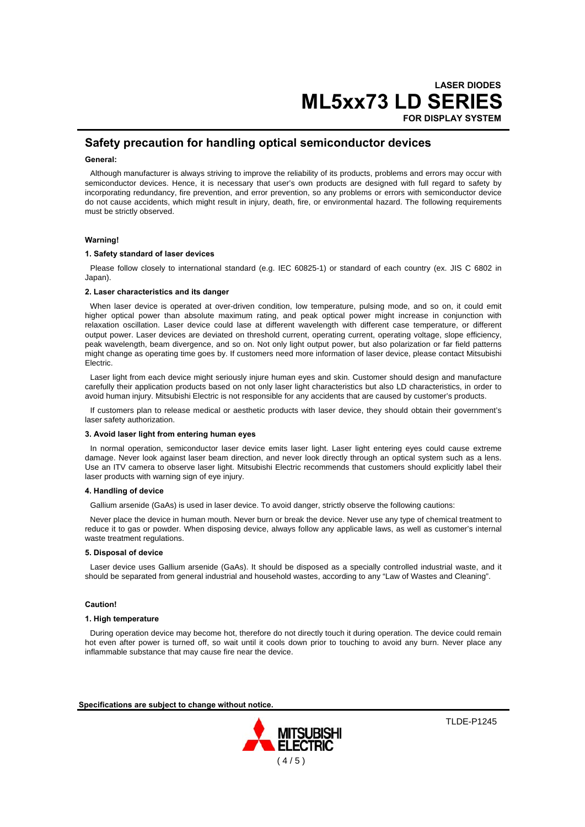# **ML5xx73 LD SERIES LASER DIODES**

**FOR DISPLAY SYSTEM**

## **Safety precaution for handling optical semiconductor devices**

#### **General:**

Although manufacturer is always striving to improve the reliability of its products, problems and errors may occur with semiconductor devices. Hence, it is necessary that user's own products are designed with full regard to safety by incorporating redundancy, fire prevention, and error prevention, so any problems or errors with semiconductor device do not cause accidents, which might result in injury, death, fire, or environmental hazard. The following requirements must be strictly observed.

#### **Warning!**

#### **1. Safety standard of laser devices**

Please follow closely to international standard (e.g. IEC 60825-1) or standard of each country (ex. JIS C 6802 in Japan).

#### **2. Laser characteristics and its danger**

When laser device is operated at over-driven condition, low temperature, pulsing mode, and so on, it could emit higher optical power than absolute maximum rating, and peak optical power might increase in conjunction with relaxation oscillation. Laser device could lase at different wavelength with different case temperature, or different output power. Laser devices are deviated on threshold current, operating current, operating voltage, slope efficiency, peak wavelength, beam divergence, and so on. Not only light output power, but also polarization or far field patterns might change as operating time goes by. If customers need more information of laser device, please contact Mitsubishi Electric.

Laser light from each device might seriously injure human eyes and skin. Customer should design and manufacture carefully their application products based on not only laser light characteristics but also LD characteristics, in order to avoid human injury. Mitsubishi Electric is not responsible for any accidents that are caused by customer's products.

If customers plan to release medical or aesthetic products with laser device, they should obtain their government's laser safety authorization.

#### **3. Avoid laser light from entering human eyes**

In normal operation, semiconductor laser device emits laser light. Laser light entering eyes could cause extreme damage. Never look against laser beam direction, and never look directly through an optical system such as a lens. Use an ITV camera to observe laser light. Mitsubishi Electric recommends that customers should explicitly label their laser products with warning sign of eye injury.

#### **4. Handling of device**

Gallium arsenide (GaAs) is used in laser device. To avoid danger, strictly observe the following cautions:

Never place the device in human mouth. Never burn or break the device. Never use any type of chemical treatment to reduce it to gas or powder. When disposing device, always follow any applicable laws, as well as customer's internal waste treatment regulations.

#### **5. Disposal of device**

Laser device uses Gallium arsenide (GaAs). It should be disposed as a specially controlled industrial waste, and it should be separated from general industrial and household wastes, according to any "Law of Wastes and Cleaning".

#### **Caution!**

#### **1. High temperature**

During operation device may become hot, therefore do not directly touch it during operation. The device could remain hot even after power is turned off, so wait until it cools down prior to touching to avoid any burn. Never place any inflammable substance that may cause fire near the device.

**Specifications are subject to change without notice.**